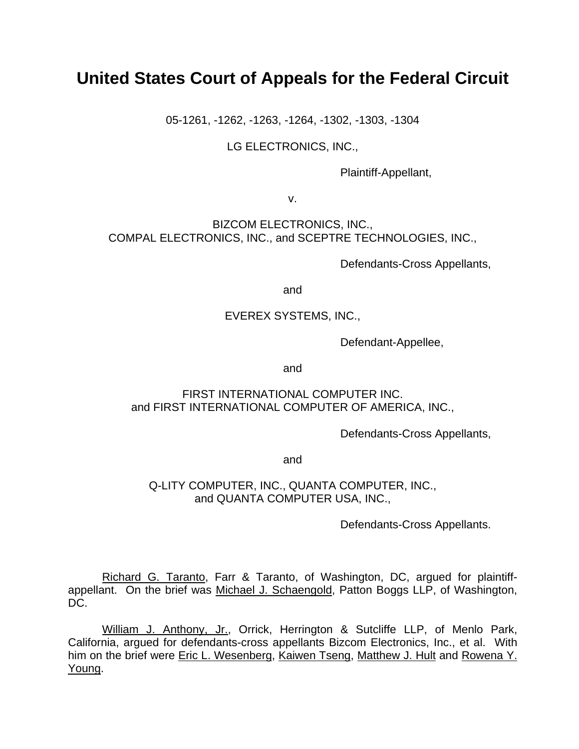# **United States Court of Appeals for the Federal Circuit**

05-1261, -1262, -1263, -1264, -1302, -1303, -1304

LG ELECTRONICS, INC.,

Plaintiff-Appellant,

v.

BIZCOM ELECTRONICS, INC., COMPAL ELECTRONICS, INC., and SCEPTRE TECHNOLOGIES, INC.,

Defendants-Cross Appellants,

and

## EVEREX SYSTEMS, INC.,

Defendant-Appellee,

and

## FIRST INTERNATIONAL COMPUTER INC. and FIRST INTERNATIONAL COMPUTER OF AMERICA, INC.,

Defendants-Cross Appellants,

and

## Q-LITY COMPUTER, INC., QUANTA COMPUTER, INC., and QUANTA COMPUTER USA, INC.,

Defendants-Cross Appellants.

Richard G. Taranto, Farr & Taranto, of Washington, DC, argued for plaintiffappellant. On the brief was Michael J. Schaengold, Patton Boggs LLP, of Washington, DC.

William J. Anthony, Jr., Orrick, Herrington & Sutcliffe LLP, of Menlo Park, California, argued for defendants-cross appellants Bizcom Electronics, Inc., et al. With him on the brief were Eric L. Wesenberg, Kaiwen Tseng, Matthew J. Hult and Rowena Y. Young.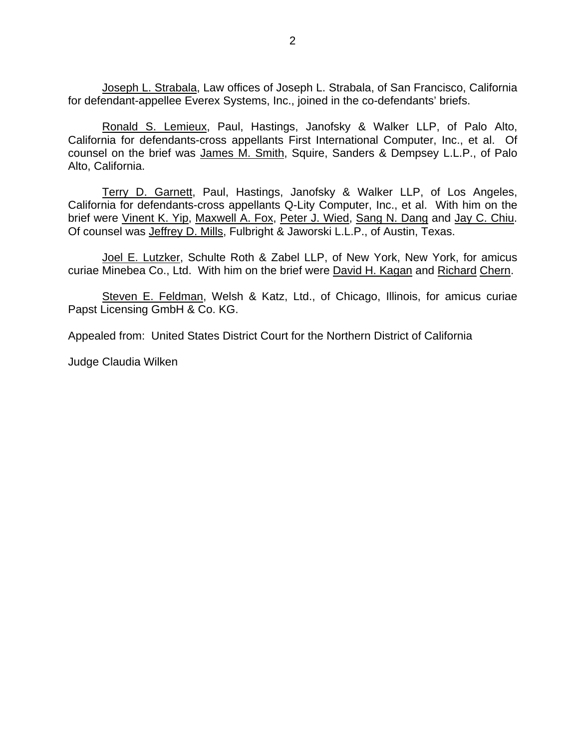Joseph L. Strabala, Law offices of Joseph L. Strabala, of San Francisco, California for defendant-appellee Everex Systems, Inc., joined in the co-defendants' briefs.

Ronald S. Lemieux, Paul, Hastings, Janofsky & Walker LLP, of Palo Alto, California for defendants-cross appellants First International Computer, Inc., et al. Of counsel on the brief was James M. Smith, Squire, Sanders & Dempsey L.L.P., of Palo Alto, California.

Terry D. Garnett, Paul, Hastings, Janofsky & Walker LLP, of Los Angeles, California for defendants-cross appellants Q-Lity Computer, Inc., et al. With him on the brief were Vinent K. Yip, Maxwell A. Fox, Peter J. Wied, Sang N. Dang and Jay C. Chiu. Of counsel was Jeffrey D. Mills, Fulbright & Jaworski L.L.P., of Austin, Texas.

Joel E. Lutzker, Schulte Roth & Zabel LLP, of New York, New York, for amicus curiae Minebea Co., Ltd. With him on the brief were David H. Kagan and Richard Chern.

Steven E. Feldman, Welsh & Katz, Ltd., of Chicago, Illinois, for amicus curiae Papst Licensing GmbH & Co. KG.

Appealed from: United States District Court for the Northern District of California

Judge Claudia Wilken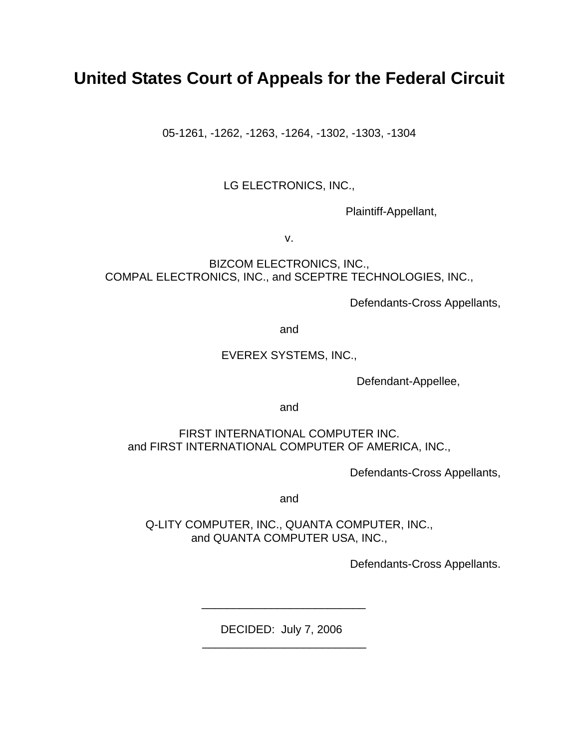# **United States Court of Appeals for the Federal Circuit**

05-1261, -1262, -1263, -1264, -1302, -1303, -1304

# LG ELECTRONICS, INC.,

Plaintiff-Appellant,

v.

BIZCOM ELECTRONICS, INC., COMPAL ELECTRONICS, INC., and SCEPTRE TECHNOLOGIES, INC.,

Defendants-Cross Appellants,

and

## EVEREX SYSTEMS, INC.,

Defendant-Appellee,

and

FIRST INTERNATIONAL COMPUTER INC. and FIRST INTERNATIONAL COMPUTER OF AMERICA, INC.,

Defendants-Cross Appellants,

and

Q-LITY COMPUTER, INC., QUANTA COMPUTER, INC., and QUANTA COMPUTER USA, INC.,

Defendants-Cross Appellants.

DECIDED: July 7, 2006

 $\frac{1}{\sqrt{2}}$  ,  $\frac{1}{\sqrt{2}}$  ,  $\frac{1}{\sqrt{2}}$  ,  $\frac{1}{\sqrt{2}}$  ,  $\frac{1}{\sqrt{2}}$  ,  $\frac{1}{\sqrt{2}}$  ,  $\frac{1}{\sqrt{2}}$  ,  $\frac{1}{\sqrt{2}}$  ,  $\frac{1}{\sqrt{2}}$  ,  $\frac{1}{\sqrt{2}}$  ,  $\frac{1}{\sqrt{2}}$  ,  $\frac{1}{\sqrt{2}}$  ,  $\frac{1}{\sqrt{2}}$  ,  $\frac{1}{\sqrt{2}}$  ,  $\frac{1}{\sqrt{2}}$ 

 $\frac{1}{\sqrt{2\pi}}$  ,  $\frac{1}{\sqrt{2\pi}}$  ,  $\frac{1}{\sqrt{2\pi}}$  ,  $\frac{1}{\sqrt{2\pi}}$  ,  $\frac{1}{\sqrt{2\pi}}$  ,  $\frac{1}{\sqrt{2\pi}}$  ,  $\frac{1}{\sqrt{2\pi}}$  ,  $\frac{1}{\sqrt{2\pi}}$  ,  $\frac{1}{\sqrt{2\pi}}$  ,  $\frac{1}{\sqrt{2\pi}}$  ,  $\frac{1}{\sqrt{2\pi}}$  ,  $\frac{1}{\sqrt{2\pi}}$  ,  $\frac{1}{\sqrt{2\pi}}$  ,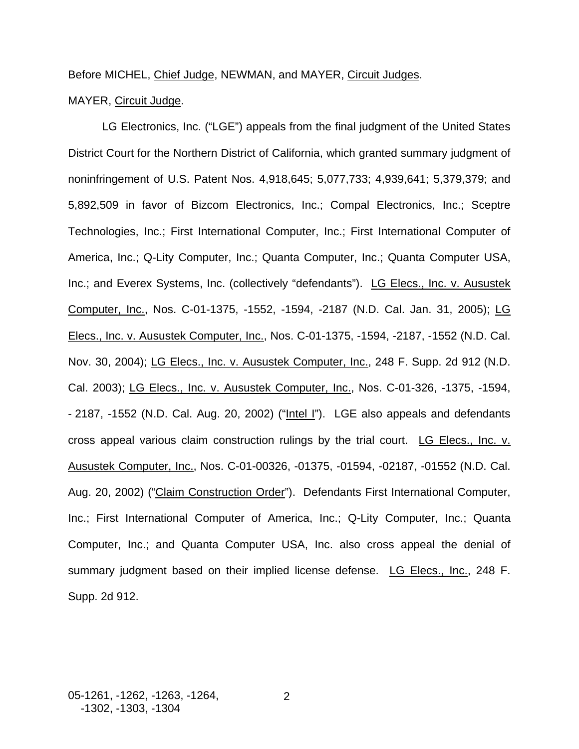## Before MICHEL, Chief Judge, NEWMAN, and MAYER, Circuit Judges.

## MAYER, Circuit Judge.

 LG Electronics, Inc. ("LGE") appeals from the final judgment of the United States District Court for the Northern District of California, which granted summary judgment of noninfringement of U.S. Patent Nos. 4,918,645; 5,077,733; 4,939,641; 5,379,379; and 5,892,509 in favor of Bizcom Electronics, Inc.; Compal Electronics, Inc.; Sceptre Technologies, Inc.; First International Computer, Inc.; First International Computer of America, Inc.; Q-Lity Computer, Inc.; Quanta Computer, Inc.; Quanta Computer USA, Inc.; and Everex Systems, Inc. (collectively "defendants"). LG Elecs., Inc. v. Ausustek Computer, Inc., Nos. C-01-1375, -1552, -1594, -2187 (N.D. Cal. Jan. 31, 2005); LG Elecs., Inc. v. Ausustek Computer, Inc., Nos. C-01-1375, -1594, -2187, -1552 (N.D. Cal. Nov. 30, 2004); LG Elecs., Inc. v. Ausustek Computer, Inc., 248 F. Supp. 2d 912 (N.D. Cal. 2003); LG Elecs., Inc. v. Ausustek Computer, Inc., Nos. C-01-326, -1375, -1594, - 2187, -1552 (N.D. Cal. Aug. 20, 2002) ("Intel I"). LGE also appeals and defendants cross appeal various claim construction rulings by the trial court. LG Elecs., Inc. v. Ausustek Computer, Inc., Nos. C-01-00326, -01375, -01594, -02187, -01552 (N.D. Cal. Aug. 20, 2002) ("Claim Construction Order"). Defendants First International Computer, Inc.; First International Computer of America, Inc.; Q-Lity Computer, Inc.; Quanta Computer, Inc.; and Quanta Computer USA, Inc. also cross appeal the denial of summary judgment based on their implied license defense. LG Elecs., Inc., 248 F. Supp. 2d 912.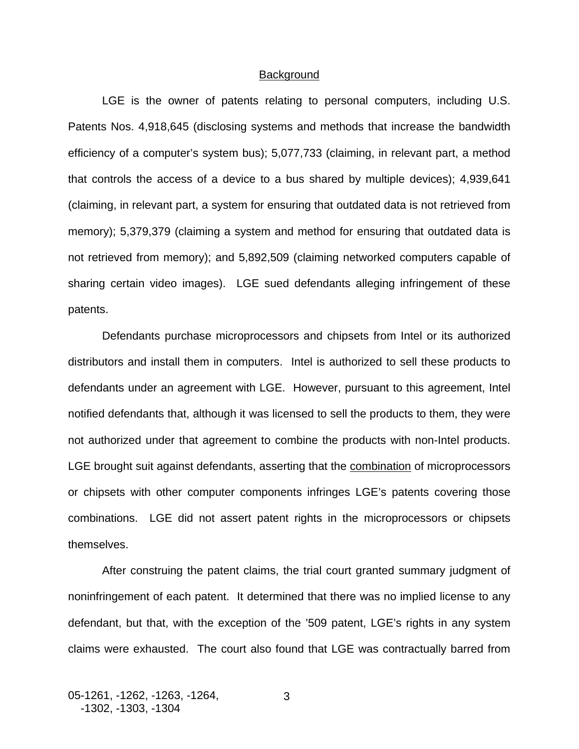### **Background**

LGE is the owner of patents relating to personal computers, including U.S. Patents Nos. 4,918,645 (disclosing systems and methods that increase the bandwidth efficiency of a computer's system bus); 5,077,733 (claiming, in relevant part, a method that controls the access of a device to a bus shared by multiple devices); 4,939,641 (claiming, in relevant part, a system for ensuring that outdated data is not retrieved from memory); 5,379,379 (claiming a system and method for ensuring that outdated data is not retrieved from memory); and 5,892,509 (claiming networked computers capable of sharing certain video images). LGE sued defendants alleging infringement of these patents.

Defendants purchase microprocessors and chipsets from Intel or its authorized distributors and install them in computers. Intel is authorized to sell these products to defendants under an agreement with LGE. However, pursuant to this agreement, Intel notified defendants that, although it was licensed to sell the products to them, they were not authorized under that agreement to combine the products with non-Intel products. LGE brought suit against defendants, asserting that the combination of microprocessors or chipsets with other computer components infringes LGE's patents covering those combinations. LGE did not assert patent rights in the microprocessors or chipsets themselves.

After construing the patent claims, the trial court granted summary judgment of noninfringement of each patent. It determined that there was no implied license to any defendant, but that, with the exception of the '509 patent, LGE's rights in any system claims were exhausted. The court also found that LGE was contractually barred from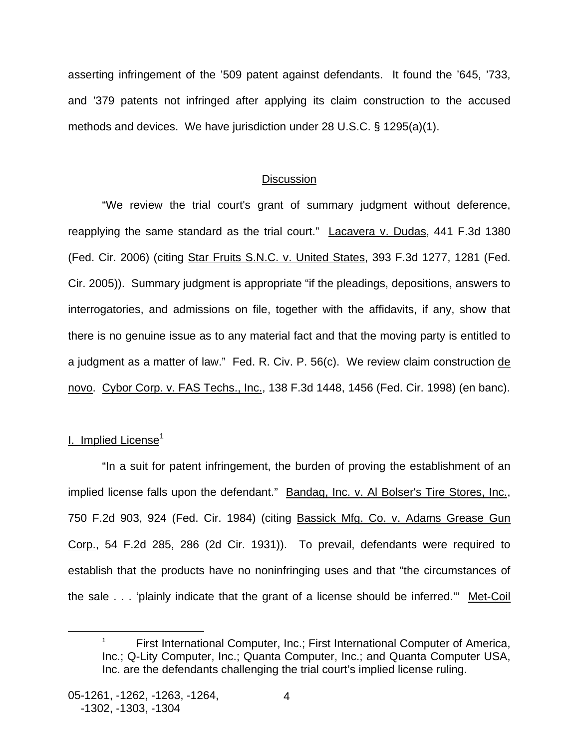asserting infringement of the '509 patent against defendants. It found the '645, '733, and '379 patents not infringed after applying its claim construction to the accused methods and devices. We have jurisdiction under 28 U.S.C. § 1295(a)(1).

## **Discussion**

"We review the trial court's grant of summary judgment without deference, reapplying the same standard as the trial court." Lacavera v. Dudas, 441 F.3d 1380 (Fed. Cir. 2006) (citing Star Fruits S.N.C. v. United States, 393 F.3d 1277, 1281 (Fed. Cir. 2005)). Summary judgment is appropriate "if the pleadings, depositions, answers to interrogatories, and admissions on file, together with the affidavits, if any, show that there is no genuine issue as to any material fact and that the moving party is entitled to a judgment as a matter of law." Fed. R. Civ. P. 56(c). We review claim construction de novo. Cybor Corp. v. FAS Techs., Inc., 138 F.3d 1448, 1456 (Fed. Cir. 1998) (en banc).

## I. Implied License<sup>[1](#page-5-0)</sup>

 $\overline{a}$ 

"In a suit for patent infringement, the burden of proving the establishment of an implied license falls upon the defendant." Bandag, Inc. v. Al Bolser's Tire Stores, Inc., 750 F.2d 903, 924 (Fed. Cir. 1984) (citing Bassick Mfg. Co. v. Adams Grease Gun Corp., 54 F.2d 285, 286 (2d Cir. 1931)). To prevail, defendants were required to establish that the products have no noninfringing uses and that "the circumstances of the sale . . . 'plainly indicate that the grant of a license should be inferred."" Met-Coil

<span id="page-5-0"></span><sup>1</sup> First International Computer, Inc.; First International Computer of America, Inc.; Q-Lity Computer, Inc.; Quanta Computer, Inc.; and Quanta Computer USA, Inc. are the defendants challenging the trial court's implied license ruling.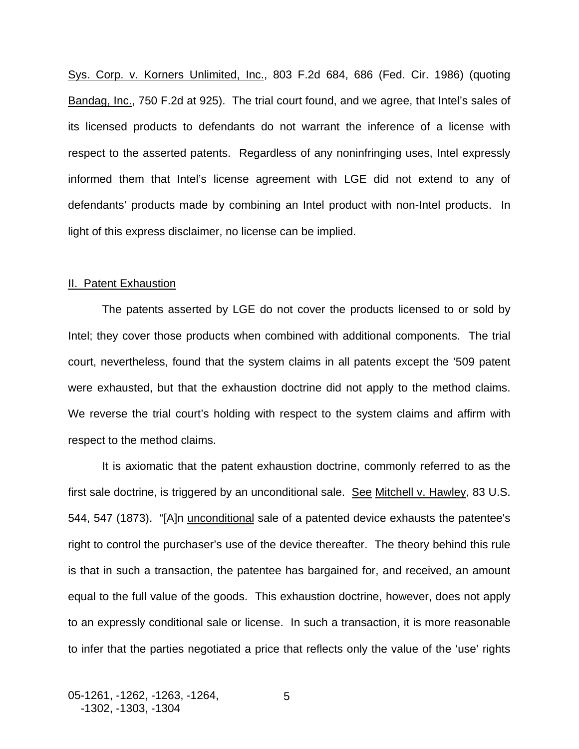Sys. Corp. v. Korners Unlimited, Inc., 803 F.2d 684, 686 (Fed. Cir. 1986) (quoting Bandag, Inc., 750 F.2d at 925). The trial court found, and we agree, that Intel's sales of its licensed products to defendants do not warrant the inference of a license with respect to the asserted patents. Regardless of any noninfringing uses, Intel expressly informed them that Intel's license agreement with LGE did not extend to any of defendants' products made by combining an Intel product with non-Intel products. In light of this express disclaimer, no license can be implied.

### II. Patent Exhaustion

 The patents asserted by LGE do not cover the products licensed to or sold by Intel; they cover those products when combined with additional components. The trial court, nevertheless, found that the system claims in all patents except the '509 patent were exhausted, but that the exhaustion doctrine did not apply to the method claims. We reverse the trial court's holding with respect to the system claims and affirm with respect to the method claims.

It is axiomatic that the patent exhaustion doctrine, commonly referred to as the first sale doctrine, is triggered by an unconditional sale. See Mitchell v. Hawley, 83 U.S. 544, 547 (1873). "[A]n unconditional sale of a patented device exhausts the patentee's right to control the purchaser's use of the device thereafter. The theory behind this rule is that in such a transaction, the patentee has bargained for, and received, an amount equal to the full value of the goods. This exhaustion doctrine, however, does not apply to an expressly conditional sale or license. In such a transaction, it is more reasonable to infer that the parties negotiated a price that reflects only the value of the 'use' rights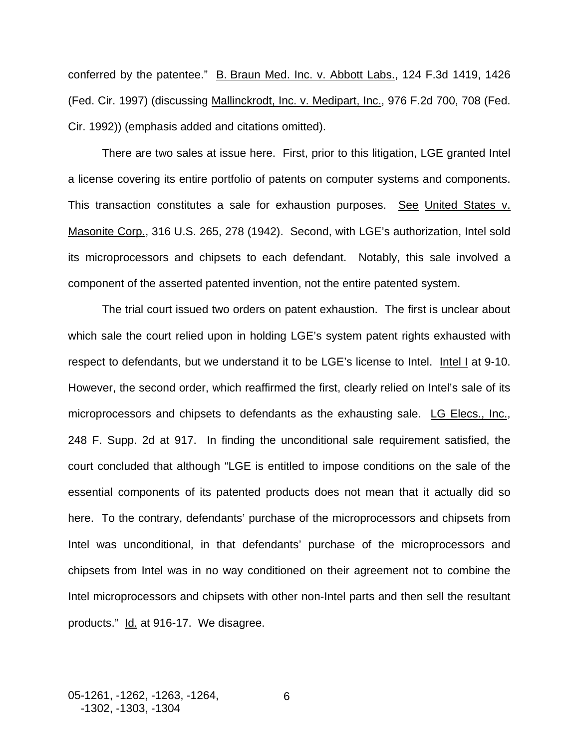conferred by the patentee." B. Braun Med. Inc. v. Abbott Labs., 124 F.3d 1419, 1426 (Fed. Cir. 1997) (discussing Mallinckrodt, Inc. v. Medipart, Inc., 976 F.2d 700, 708 (Fed. Cir. 1992)) (emphasis added and citations omitted).

There are two sales at issue here. First, prior to this litigation, LGE granted Intel a license covering its entire portfolio of patents on computer systems and components. This transaction constitutes a sale for exhaustion purposes. See United States v. Masonite Corp., 316 U.S. 265, 278 (1942). Second, with LGE's authorization, Intel sold its microprocessors and chipsets to each defendant. Notably, this sale involved a component of the asserted patented invention, not the entire patented system.

The trial court issued two orders on patent exhaustion. The first is unclear about which sale the court relied upon in holding LGE's system patent rights exhausted with respect to defendants, but we understand it to be LGE's license to Intel. Intel I at 9-10. However, the second order, which reaffirmed the first, clearly relied on Intel's sale of its microprocessors and chipsets to defendants as the exhausting sale. LG Elecs., Inc., 248 F. Supp. 2d at 917. In finding the unconditional sale requirement satisfied, the court concluded that although "LGE is entitled to impose conditions on the sale of the essential components of its patented products does not mean that it actually did so here. To the contrary, defendants' purchase of the microprocessors and chipsets from Intel was unconditional, in that defendants' purchase of the microprocessors and chipsets from Intel was in no way conditioned on their agreement not to combine the Intel microprocessors and chipsets with other non-Intel parts and then sell the resultant products." Id. at 916-17. We disagree.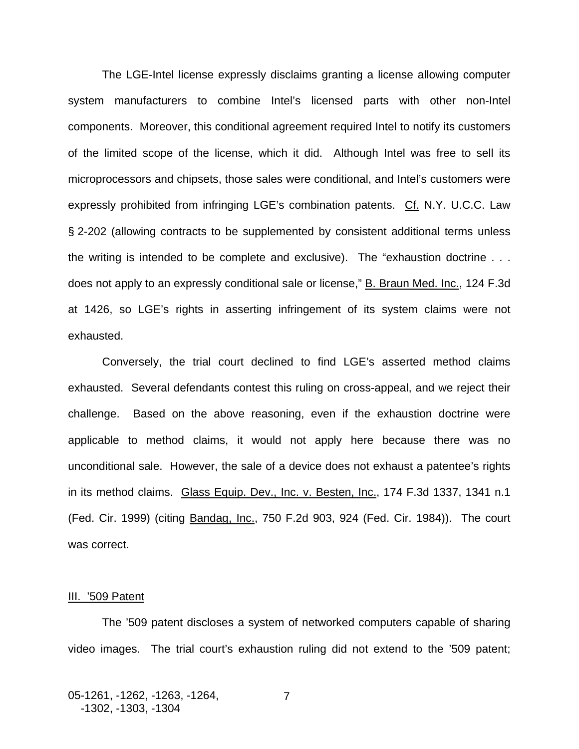The LGE-Intel license expressly disclaims granting a license allowing computer system manufacturers to combine Intel's licensed parts with other non-Intel components. Moreover, this conditional agreement required Intel to notify its customers of the limited scope of the license, which it did. Although Intel was free to sell its microprocessors and chipsets, those sales were conditional, and Intel's customers were expressly prohibited from infringing LGE's combination patents. Cf. N.Y. U.C.C. Law § 2-202 (allowing contracts to be supplemented by consistent additional terms unless the writing is intended to be complete and exclusive). The "exhaustion doctrine . . . does not apply to an expressly conditional sale or license," B. Braun Med. Inc., 124 F.3d at 1426, so LGE's rights in asserting infringement of its system claims were not exhausted.

 Conversely, the trial court declined to find LGE's asserted method claims exhausted. Several defendants contest this ruling on cross-appeal, and we reject their challenge. Based on the above reasoning, even if the exhaustion doctrine were applicable to method claims, it would not apply here because there was no unconditional sale. However, the sale of a device does not exhaust a patentee's rights in its method claims. Glass Equip. Dev., Inc. v. Besten, Inc., 174 F.3d 1337, 1341 n.1 (Fed. Cir. 1999) (citing Bandag, Inc., 750 F.2d 903, 924 (Fed. Cir. 1984)). The court was correct.

#### **III. '509 Patent**

 The '509 patent discloses a system of networked computers capable of sharing video images. The trial court's exhaustion ruling did not extend to the '509 patent;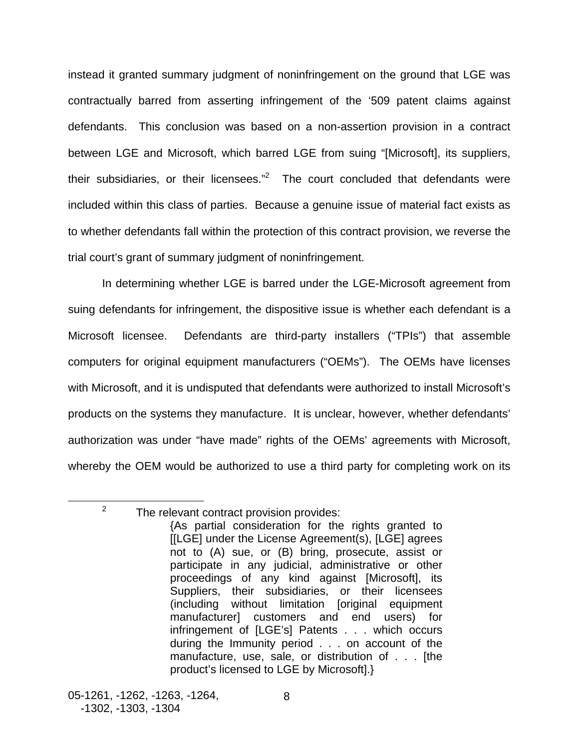instead it granted summary judgment of noninfringement on the ground that LGE was contractually barred from asserting infringement of the '509 patent claims against defendants. This conclusion was based on a non-assertion provision in a contract between LGE and Microsoft, which barred LGE from suing "[Microsoft], its suppliers, their subsidiaries, or their licensees." $2$  The court concluded that defendants were included within this class of parties. Because a genuine issue of material fact exists as to whether defendants fall within the protection of this contract provision, we reverse the trial court's grant of summary judgment of noninfringement.

In determining whether LGE is barred under the LGE-Microsoft agreement from suing defendants for infringement, the dispositive issue is whether each defendant is a Microsoft licensee. Defendants are third-party installers ("TPIs") that assemble computers for original equipment manufacturers ("OEMs"). The OEMs have licenses with Microsoft, and it is undisputed that defendants were authorized to install Microsoft's products on the systems they manufacture. It is unclear, however, whether defendants' authorization was under "have made" rights of the OEMs' agreements with Microsoft, whereby the OEM would be authorized to use a third party for completing work on its

<u>.</u>

<span id="page-9-0"></span> $2^2$  The relevant contract provision provides:

<sup>{</sup>As partial consideration for the rights granted to [[LGE] under the License Agreement(s), [LGE] agrees not to (A) sue, or (B) bring, prosecute, assist or participate in any judicial, administrative or other proceedings of any kind against [Microsoft], its Suppliers, their subsidiaries, or their licensees (including without limitation [original equipment manufacturer] customers and end users) for infringement of [LGE's] Patents . . . which occurs during the Immunity period . . . on account of the manufacture, use, sale, or distribution of . . . [the product's licensed to LGE by Microsoft].}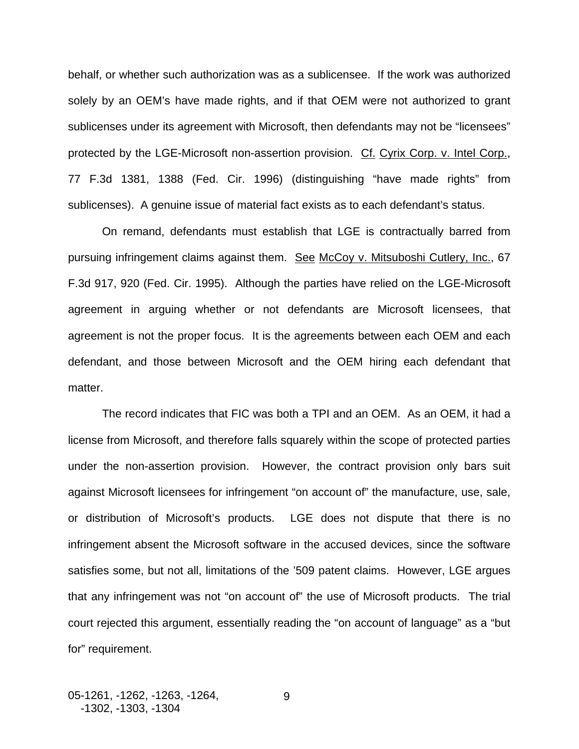behalf, or whether such authorization was as a sublicensee. If the work was authorized solely by an OEM's have made rights, and if that OEM were not authorized to grant sublicenses under its agreement with Microsoft, then defendants may not be "licensees" protected by the LGE-Microsoft non-assertion provision. Cf. Cyrix Corp. v. Intel Corp., 77 F.3d 1381, 1388 (Fed. Cir. 1996) (distinguishing "have made rights" from sublicenses). A genuine issue of material fact exists as to each defendant's status.

On remand, defendants must establish that LGE is contractually barred from pursuing infringement claims against them. See McCoy v. Mitsuboshi Cutlery, Inc., 67 F.3d 917, 920 (Fed. Cir. 1995). Although the parties have relied on the LGE-Microsoft agreement in arguing whether or not defendants are Microsoft licensees, that agreement is not the proper focus. It is the agreements between each OEM and each defendant, and those between Microsoft and the OEM hiring each defendant that matter.

The record indicates that FIC was both a TPI and an OEM. As an OEM, it had a license from Microsoft, and therefore falls squarely within the scope of protected parties under the non-assertion provision. However, the contract provision only bars suit against Microsoft licensees for infringement "on account of" the manufacture, use, sale, or distribution of Microsoft's products. LGE does not dispute that there is no infringement absent the Microsoft software in the accused devices, since the software satisfies some, but not all, limitations of the '509 patent claims. However, LGE argues that any infringement was not "on account of" the use of Microsoft products. The trial court rejected this argument, essentially reading the "on account of language" as a "but for" requirement.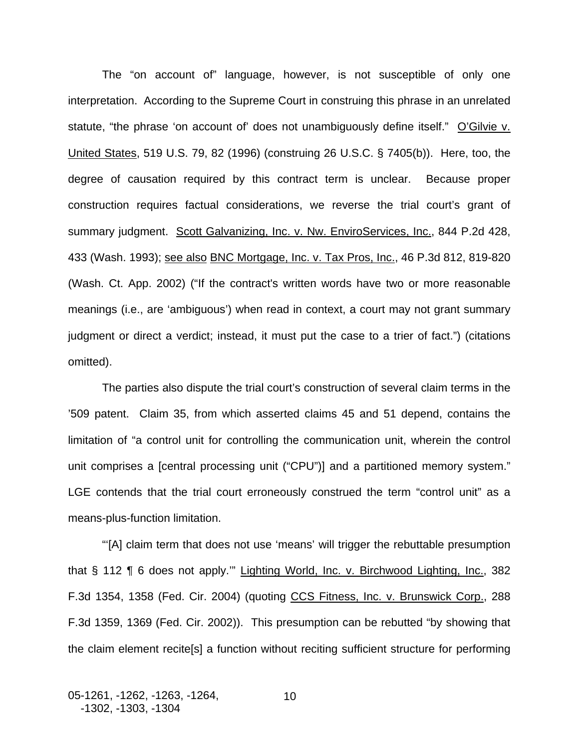The "on account of" language, however, is not susceptible of only one interpretation. According to the Supreme Court in construing this phrase in an unrelated statute, "the phrase 'on account of' does not unambiguously define itself." O'Gilvie v. United States, 519 U.S. 79, 82 (1996) (construing 26 U.S.C. § 7405(b)). Here, too, the degree of causation required by this contract term is unclear. Because proper construction requires factual considerations, we reverse the trial court's grant of summary judgment. Scott Galvanizing, Inc. v. Nw. EnviroServices, Inc., 844 P.2d 428, 433 (Wash. 1993); see also BNC Mortgage, Inc. v. Tax Pros, Inc., 46 P.3d 812, 819-820 (Wash. Ct. App. 2002) ("If the contract's written words have two or more reasonable meanings (i.e., are 'ambiguous') when read in context, a court may not grant summary judgment or direct a verdict; instead, it must put the case to a trier of fact.") (citations omitted).

The parties also dispute the trial court's construction of several claim terms in the '509 patent. Claim 35, from which asserted claims 45 and 51 depend, contains the limitation of "a control unit for controlling the communication unit, wherein the control unit comprises a [central processing unit ("CPU")] and a partitioned memory system." LGE contends that the trial court erroneously construed the term "control unit" as a means-plus-function limitation.

"'[A] claim term that does not use 'means' will trigger the rebuttable presumption that § 112 ¶ 6 does not apply.'" Lighting World, Inc. v. Birchwood Lighting, Inc., 382 F.3d 1354, 1358 (Fed. Cir. 2004) (quoting CCS Fitness, Inc. v. Brunswick Corp., 288 F.3d 1359, 1369 (Fed. Cir. 2002)). This presumption can be rebutted "by showing that the claim element recite[s] a function without reciting sufficient structure for performing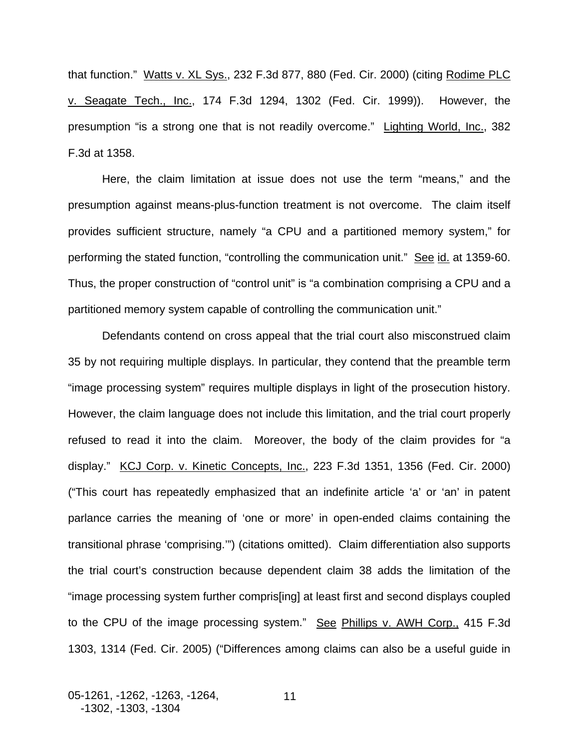that function." Watts v. XL Sys., 232 F.3d 877, 880 (Fed. Cir. 2000) (citing Rodime PLC v. Seagate Tech., Inc., 174 F.3d 1294, 1302 (Fed. Cir. 1999)). However, the presumption "is a strong one that is not readily overcome." Lighting World, Inc., 382 F.3d at 1358.

Here, the claim limitation at issue does not use the term "means," and the presumption against means-plus-function treatment is not overcome. The claim itself provides sufficient structure, namely "a CPU and a partitioned memory system," for performing the stated function, "controlling the communication unit." See id. at 1359-60. Thus, the proper construction of "control unit" is "a combination comprising a CPU and a partitioned memory system capable of controlling the communication unit."

 Defendants contend on cross appeal that the trial court also misconstrued claim 35 by not requiring multiple displays. In particular, they contend that the preamble term "image processing system" requires multiple displays in light of the prosecution history. However, the claim language does not include this limitation, and the trial court properly refused to read it into the claim. Moreover, the body of the claim provides for "a display." KCJ Corp. v. Kinetic Concepts, Inc., 223 F.3d 1351, 1356 (Fed. Cir. 2000) ("This court has repeatedly emphasized that an indefinite article 'a' or 'an' in patent parlance carries the meaning of 'one or more' in open-ended claims containing the transitional phrase 'comprising.'") (citations omitted). Claim differentiation also supports the trial court's construction because dependent claim 38 adds the limitation of the "image processing system further compris[ing] at least first and second displays coupled to the CPU of the image processing system." See Phillips v. AWH Corp., 415 F.3d 1303, 1314 (Fed. Cir. 2005) ("Differences among claims can also be a useful guide in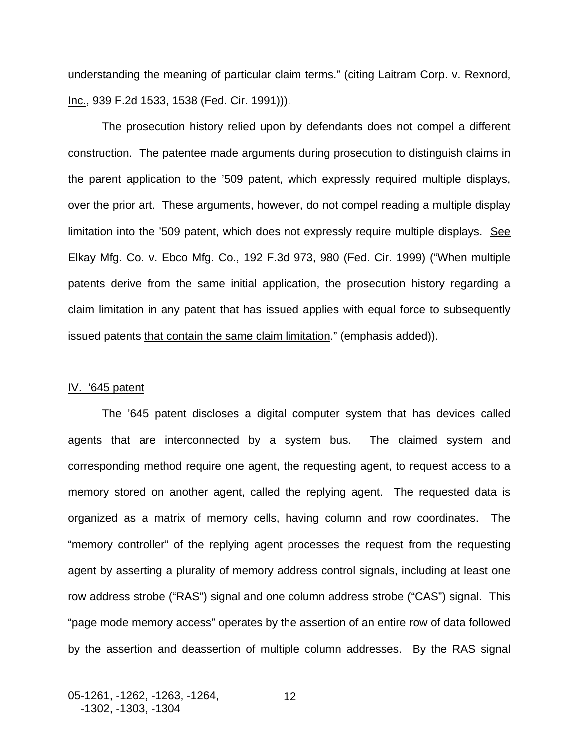understanding the meaning of particular claim terms." (citing Laitram Corp. v. Rexnord, Inc., 939 F.2d 1533, 1538 (Fed. Cir. 1991))).

The prosecution history relied upon by defendants does not compel a different construction. The patentee made arguments during prosecution to distinguish claims in the parent application to the '509 patent, which expressly required multiple displays, over the prior art. These arguments, however, do not compel reading a multiple display limitation into the '509 patent, which does not expressly require multiple displays. See Elkay Mfg. Co. v. Ebco Mfg. Co., 192 F.3d 973, 980 (Fed. Cir. 1999) ("When multiple patents derive from the same initial application, the prosecution history regarding a claim limitation in any patent that has issued applies with equal force to subsequently issued patents that contain the same claim limitation." (emphasis added)).

#### IV. '645 patent

The '645 patent discloses a digital computer system that has devices called agents that are interconnected by a system bus. The claimed system and corresponding method require one agent, the requesting agent, to request access to a memory stored on another agent, called the replying agent. The requested data is organized as a matrix of memory cells, having column and row coordinates. The "memory controller" of the replying agent processes the request from the requesting agent by asserting a plurality of memory address control signals, including at least one row address strobe ("RAS") signal and one column address strobe ("CAS") signal. This "page mode memory access" operates by the assertion of an entire row of data followed by the assertion and deassertion of multiple column addresses. By the RAS signal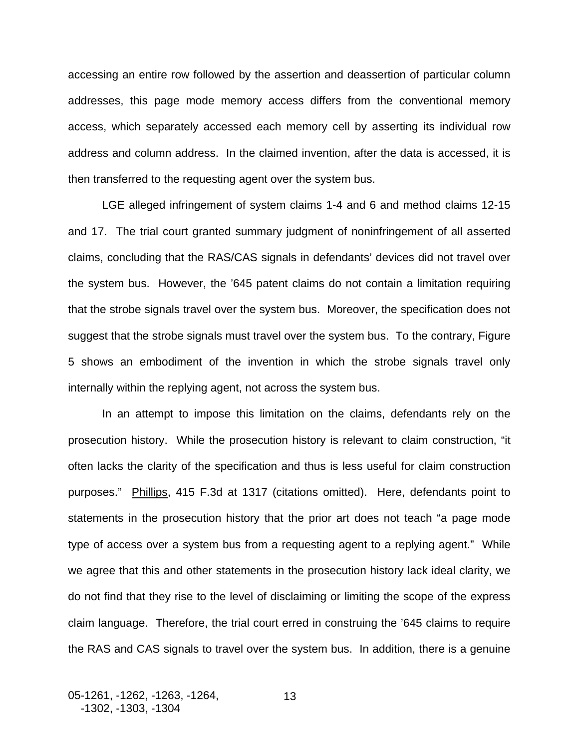accessing an entire row followed by the assertion and deassertion of particular column addresses, this page mode memory access differs from the conventional memory access, which separately accessed each memory cell by asserting its individual row address and column address. In the claimed invention, after the data is accessed, it is then transferred to the requesting agent over the system bus.

LGE alleged infringement of system claims 1-4 and 6 and method claims 12-15 and 17. The trial court granted summary judgment of noninfringement of all asserted claims, concluding that the RAS/CAS signals in defendants' devices did not travel over the system bus. However, the '645 patent claims do not contain a limitation requiring that the strobe signals travel over the system bus. Moreover, the specification does not suggest that the strobe signals must travel over the system bus. To the contrary, Figure 5 shows an embodiment of the invention in which the strobe signals travel only internally within the replying agent, not across the system bus.

In an attempt to impose this limitation on the claims, defendants rely on the prosecution history. While the prosecution history is relevant to claim construction, "it often lacks the clarity of the specification and thus is less useful for claim construction purposes." Phillips, 415 F.3d at 1317 (citations omitted). Here, defendants point to statements in the prosecution history that the prior art does not teach "a page mode type of access over a system bus from a requesting agent to a replying agent." While we agree that this and other statements in the prosecution history lack ideal clarity, we do not find that they rise to the level of disclaiming or limiting the scope of the express claim language. Therefore, the trial court erred in construing the '645 claims to require the RAS and CAS signals to travel over the system bus. In addition, there is a genuine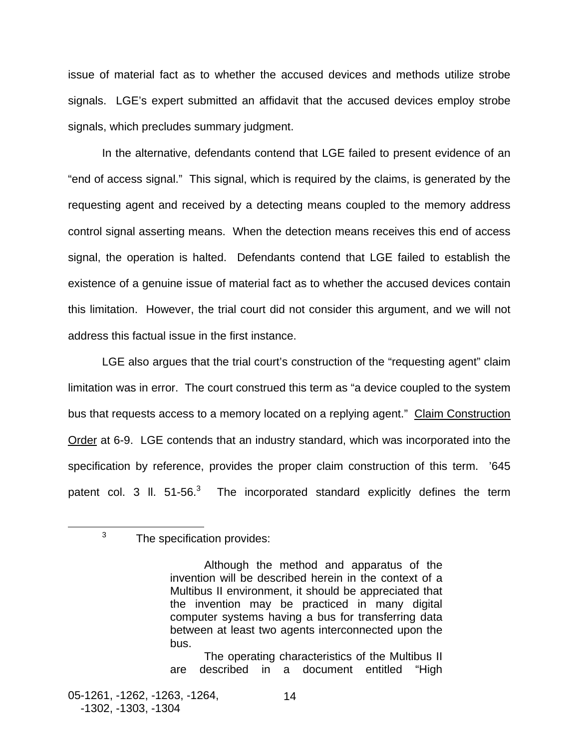issue of material fact as to whether the accused devices and methods utilize strobe signals. LGE's expert submitted an affidavit that the accused devices employ strobe signals, which precludes summary judgment.

In the alternative, defendants contend that LGE failed to present evidence of an "end of access signal." This signal, which is required by the claims, is generated by the requesting agent and received by a detecting means coupled to the memory address control signal asserting means. When the detection means receives this end of access signal, the operation is halted. Defendants contend that LGE failed to establish the existence of a genuine issue of material fact as to whether the accused devices contain this limitation. However, the trial court did not consider this argument, and we will not address this factual issue in the first instance.

LGE also argues that the trial court's construction of the "requesting agent" claim limitation was in error. The court construed this term as "a device coupled to the system bus that requests access to a memory located on a replying agent." Claim Construction Order at 6-9. LGE contends that an industry standard, which was incorporated into the specification by reference, provides the proper claim construction of this term. '645 patent col. [3](#page-15-0) II. 51-56.<sup>3</sup> The incorporated standard explicitly defines the term

<span id="page-15-0"></span> $3$  The specification provides:

The operating characteristics of the Multibus II are described in a document entitled "High

 $\frac{1}{3}$ 

Although the method and apparatus of the invention will be described herein in the context of a Multibus II environment, it should be appreciated that the invention may be practiced in many digital computer systems having a bus for transferring data between at least two agents interconnected upon the bus.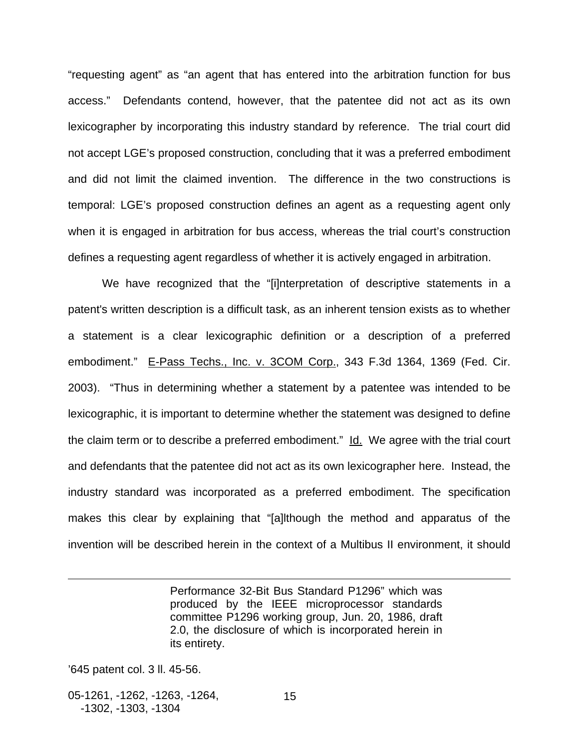"requesting agent" as "an agent that has entered into the arbitration function for bus access." Defendants contend, however, that the patentee did not act as its own lexicographer by incorporating this industry standard by reference. The trial court did not accept LGE's proposed construction, concluding that it was a preferred embodiment and did not limit the claimed invention. The difference in the two constructions is temporal: LGE's proposed construction defines an agent as a requesting agent only when it is engaged in arbitration for bus access, whereas the trial court's construction defines a requesting agent regardless of whether it is actively engaged in arbitration.

We have recognized that the "[i]nterpretation of descriptive statements in a patent's written description is a difficult task, as an inherent tension exists as to whether a statement is a clear lexicographic definition or a description of a preferred embodiment." E-Pass Techs., Inc. v. 3COM Corp., 343 F.3d 1364, 1369 (Fed. Cir. 2003). "Thus in determining whether a statement by a patentee was intended to be lexicographic, it is important to determine whether the statement was designed to define the claim term or to describe a preferred embodiment." Id. We agree with the trial court and defendants that the patentee did not act as its own lexicographer here. Instead, the industry standard was incorporated as a preferred embodiment. The specification makes this clear by explaining that "[a]lthough the method and apparatus of the invention will be described herein in the context of a Multibus II environment, it should

> Performance 32-Bit Bus Standard P1296" which was produced by the IEEE microprocessor standards committee P1296 working group, Jun. 20, 1986, draft 2.0, the disclosure of which is incorporated herein in its entirety.

'645 patent col. 3 ll. 45-56.

1

05-1261, -1262, -1263, -1264, -1302, -1303, -1304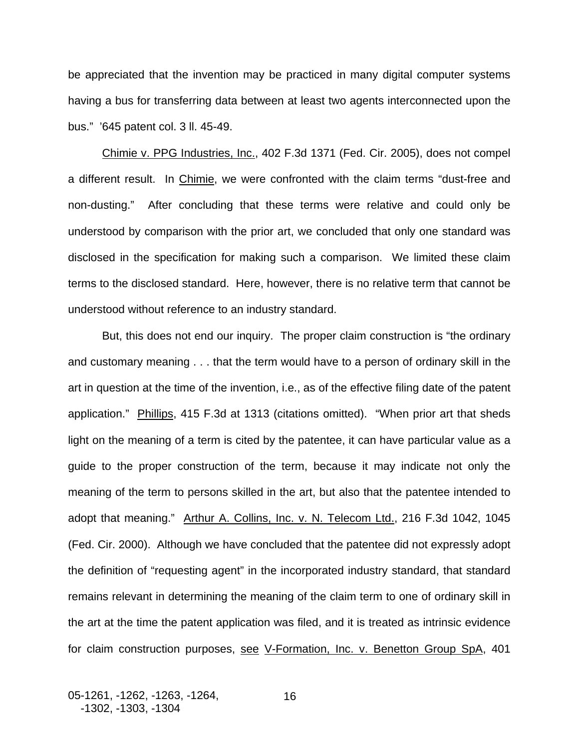be appreciated that the invention may be practiced in many digital computer systems having a bus for transferring data between at least two agents interconnected upon the bus." '645 patent col. 3 ll. 45-49.

Chimie v. PPG Industries, Inc., 402 F.3d 1371 (Fed. Cir. 2005), does not compel a different result. In Chimie, we were confronted with the claim terms "dust-free and non-dusting." After concluding that these terms were relative and could only be understood by comparison with the prior art, we concluded that only one standard was disclosed in the specification for making such a comparison. We limited these claim terms to the disclosed standard. Here, however, there is no relative term that cannot be understood without reference to an industry standard.

But, this does not end our inquiry. The proper claim construction is "the ordinary and customary meaning . . . that the term would have to a person of ordinary skill in the art in question at the time of the invention, i.e., as of the effective filing date of the patent application." Phillips, 415 F.3d at 1313 (citations omitted). "When prior art that sheds light on the meaning of a term is cited by the patentee, it can have particular value as a guide to the proper construction of the term, because it may indicate not only the meaning of the term to persons skilled in the art, but also that the patentee intended to adopt that meaning." Arthur A. Collins, Inc. v. N. Telecom Ltd., 216 F.3d 1042, 1045 (Fed. Cir. 2000). Although we have concluded that the patentee did not expressly adopt the definition of "requesting agent" in the incorporated industry standard, that standard remains relevant in determining the meaning of the claim term to one of ordinary skill in the art at the time the patent application was filed, and it is treated as intrinsic evidence for claim construction purposes, see V-Formation, Inc. v. Benetton Group SpA, 401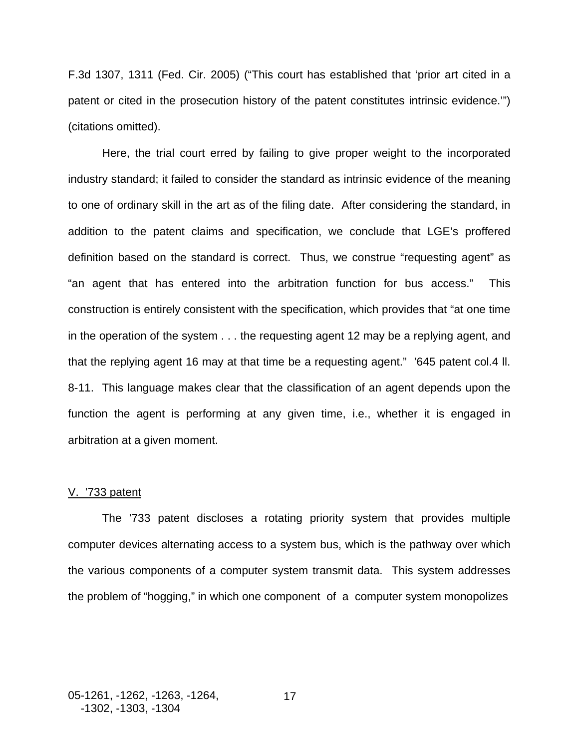F.3d 1307, 1311 (Fed. Cir. 2005) ("This court has established that 'prior art cited in a patent or cited in the prosecution history of the patent constitutes intrinsic evidence.'") (citations omitted).

Here, the trial court erred by failing to give proper weight to the incorporated industry standard; it failed to consider the standard as intrinsic evidence of the meaning to one of ordinary skill in the art as of the filing date. After considering the standard, in addition to the patent claims and specification, we conclude that LGE's proffered definition based on the standard is correct. Thus, we construe "requesting agent" as "an agent that has entered into the arbitration function for bus access." This construction is entirely consistent with the specification, which provides that "at one time in the operation of the system . . . the requesting agent 12 may be a replying agent, and that the replying agent 16 may at that time be a requesting agent." '645 patent col.4 ll. 8-11. This language makes clear that the classification of an agent depends upon the function the agent is performing at any given time, i.e., whether it is engaged in arbitration at a given moment.

### V. '733 patent

The '733 patent discloses a rotating priority system that provides multiple computer devices alternating access to a system bus, which is the pathway over which the various components of a computer system transmit data. This system addresses the problem of "hogging," in which one component of a computer system monopolizes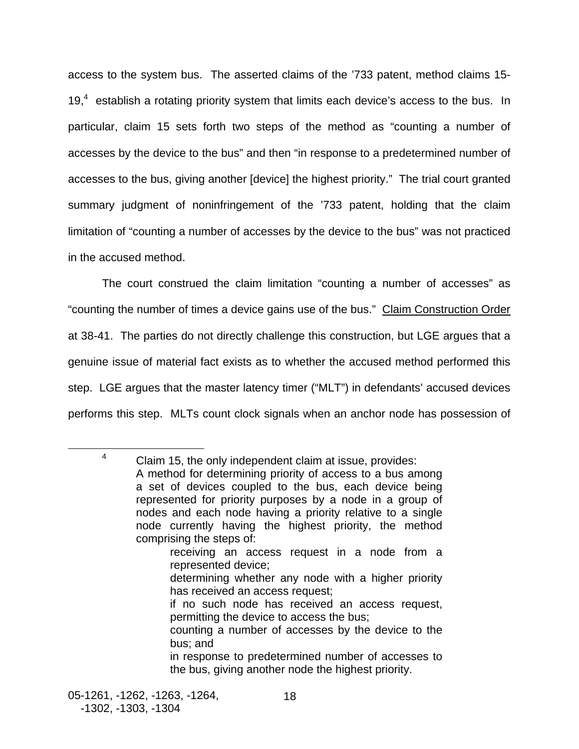access to the system bus. The asserted claims of the '733 patent, method claims 15- 19, $4$  establish a rotating priority system that limits each device's access to the bus. In particular, claim 15 sets forth two steps of the method as "counting a number of accesses by the device to the bus" and then "in response to a predetermined number of accesses to the bus, giving another [device] the highest priority." The trial court granted summary judgment of noninfringement of the '733 patent, holding that the claim limitation of "counting a number of accesses by the device to the bus" was not practiced in the accused method.

The court construed the claim limitation "counting a number of accesses" as "counting the number of times a device gains use of the bus." Claim Construction Order at 38-41. The parties do not directly challenge this construction, but LGE argues that a genuine issue of material fact exists as to whether the accused method performed this step. LGE argues that the master latency timer ("MLT") in defendants' accused devices performs this step. MLTs count clock signals when an anchor node has possession of

<span id="page-19-0"></span> $\overline{\phantom{a}}$  $4$  Claim 15, the only independent claim at issue, provides: A method for determining priority of access to a bus among a set of devices coupled to the bus, each device being represented for priority purposes by a node in a group of nodes and each node having a priority relative to a single node currently having the highest priority, the method comprising the steps of: receiving an access request in a node from a represented device; determining whether any node with a higher priority has received an access request;

- if no such node has received an access request, permitting the device to access the bus;
- counting a number of accesses by the device to the bus; and

in response to predetermined number of accesses to the bus, giving another node the highest priority.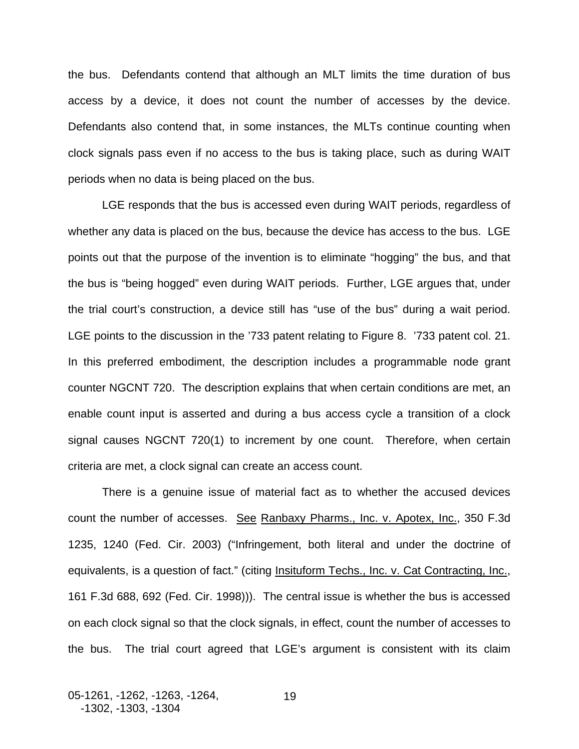the bus. Defendants contend that although an MLT limits the time duration of bus access by a device, it does not count the number of accesses by the device. Defendants also contend that, in some instances, the MLTs continue counting when clock signals pass even if no access to the bus is taking place, such as during WAIT periods when no data is being placed on the bus.

LGE responds that the bus is accessed even during WAIT periods, regardless of whether any data is placed on the bus, because the device has access to the bus. LGE points out that the purpose of the invention is to eliminate "hogging" the bus, and that the bus is "being hogged" even during WAIT periods. Further, LGE argues that, under the trial court's construction, a device still has "use of the bus" during a wait period. LGE points to the discussion in the '733 patent relating to Figure 8. '733 patent col. 21. In this preferred embodiment, the description includes a programmable node grant counter NGCNT 720. The description explains that when certain conditions are met, an enable count input is asserted and during a bus access cycle a transition of a clock signal causes NGCNT 720(1) to increment by one count. Therefore, when certain criteria are met, a clock signal can create an access count.

There is a genuine issue of material fact as to whether the accused devices count the number of accesses. See Ranbaxy Pharms., Inc. v. Apotex, Inc., 350 F.3d 1235, 1240 (Fed. Cir. 2003) ("Infringement, both literal and under the doctrine of equivalents, is a question of fact." (citing Insituform Techs., Inc. v. Cat Contracting, Inc., 161 F.3d 688, 692 (Fed. Cir. 1998))). The central issue is whether the bus is accessed on each clock signal so that the clock signals, in effect, count the number of accesses to the bus. The trial court agreed that LGE's argument is consistent with its claim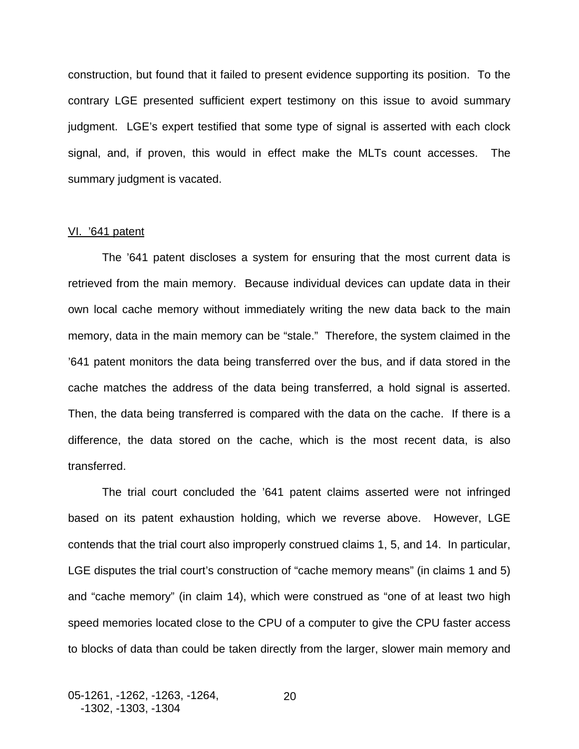construction, but found that it failed to present evidence supporting its position. To the contrary LGE presented sufficient expert testimony on this issue to avoid summary judgment. LGE's expert testified that some type of signal is asserted with each clock signal, and, if proven, this would in effect make the MLTs count accesses. The summary judgment is vacated.

### VI. '641 patent

The '641 patent discloses a system for ensuring that the most current data is retrieved from the main memory. Because individual devices can update data in their own local cache memory without immediately writing the new data back to the main memory, data in the main memory can be "stale." Therefore, the system claimed in the '641 patent monitors the data being transferred over the bus, and if data stored in the cache matches the address of the data being transferred, a hold signal is asserted. Then, the data being transferred is compared with the data on the cache. If there is a difference, the data stored on the cache, which is the most recent data, is also transferred.

The trial court concluded the '641 patent claims asserted were not infringed based on its patent exhaustion holding, which we reverse above. However, LGE contends that the trial court also improperly construed claims 1, 5, and 14. In particular, LGE disputes the trial court's construction of "cache memory means" (in claims 1 and 5) and "cache memory" (in claim 14), which were construed as "one of at least two high speed memories located close to the CPU of a computer to give the CPU faster access to blocks of data than could be taken directly from the larger, slower main memory and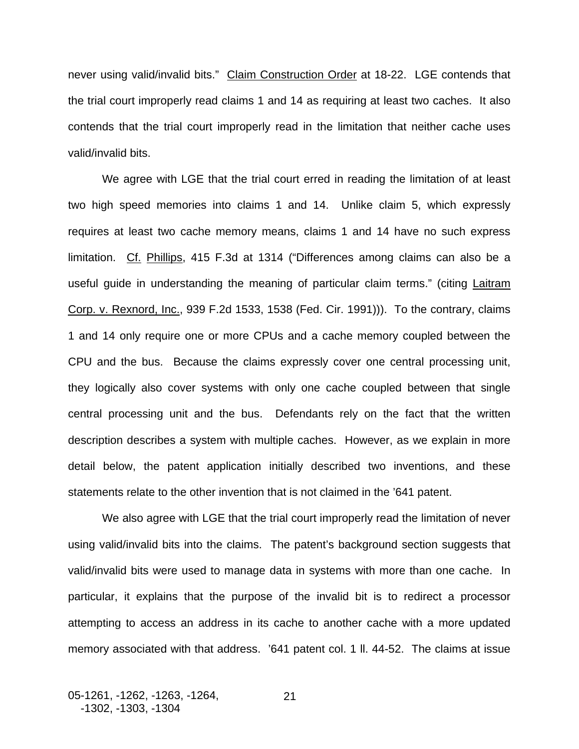never using valid/invalid bits." Claim Construction Order at 18-22. LGE contends that the trial court improperly read claims 1 and 14 as requiring at least two caches. It also contends that the trial court improperly read in the limitation that neither cache uses valid/invalid bits.

We agree with LGE that the trial court erred in reading the limitation of at least two high speed memories into claims 1 and 14. Unlike claim 5, which expressly requires at least two cache memory means, claims 1 and 14 have no such express limitation. Cf. Phillips, 415 F.3d at 1314 ("Differences among claims can also be a useful guide in understanding the meaning of particular claim terms." (citing Laitram Corp. v. Rexnord, Inc., 939 F.2d 1533, 1538 (Fed. Cir. 1991))). To the contrary, claims 1 and 14 only require one or more CPUs and a cache memory coupled between the CPU and the bus. Because the claims expressly cover one central processing unit, they logically also cover systems with only one cache coupled between that single central processing unit and the bus. Defendants rely on the fact that the written description describes a system with multiple caches. However, as we explain in more detail below, the patent application initially described two inventions, and these statements relate to the other invention that is not claimed in the '641 patent.

 We also agree with LGE that the trial court improperly read the limitation of never using valid/invalid bits into the claims. The patent's background section suggests that valid/invalid bits were used to manage data in systems with more than one cache. In particular, it explains that the purpose of the invalid bit is to redirect a processor attempting to access an address in its cache to another cache with a more updated memory associated with that address. '641 patent col. 1 ll. 44-52. The claims at issue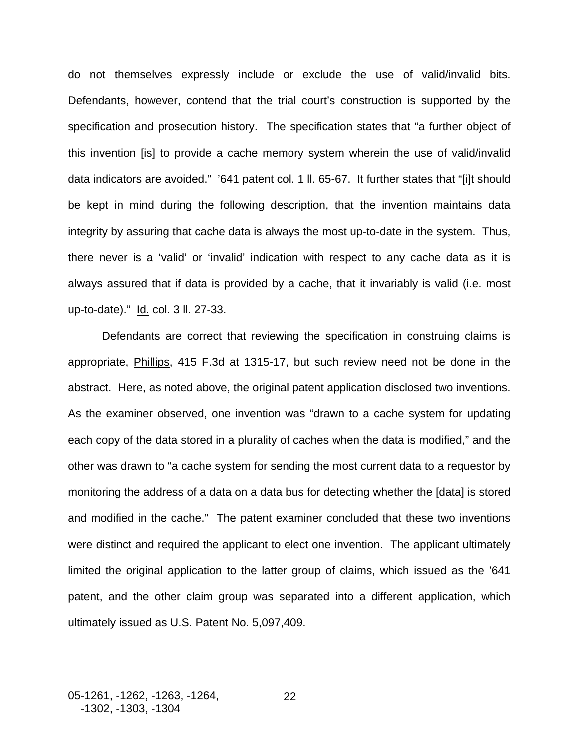do not themselves expressly include or exclude the use of valid/invalid bits. Defendants, however, contend that the trial court's construction is supported by the specification and prosecution history. The specification states that "a further object of this invention [is] to provide a cache memory system wherein the use of valid/invalid data indicators are avoided." '641 patent col. 1 ll. 65-67. It further states that "[i]t should be kept in mind during the following description, that the invention maintains data integrity by assuring that cache data is always the most up-to-date in the system. Thus, there never is a 'valid' or 'invalid' indication with respect to any cache data as it is always assured that if data is provided by a cache, that it invariably is valid (i.e. most up-to-date)." Id. col. 3 ll. 27-33.

Defendants are correct that reviewing the specification in construing claims is appropriate, Phillips, 415 F.3d at 1315-17, but such review need not be done in the abstract. Here, as noted above, the original patent application disclosed two inventions. As the examiner observed, one invention was "drawn to a cache system for updating each copy of the data stored in a plurality of caches when the data is modified," and the other was drawn to "a cache system for sending the most current data to a requestor by monitoring the address of a data on a data bus for detecting whether the [data] is stored and modified in the cache." The patent examiner concluded that these two inventions were distinct and required the applicant to elect one invention. The applicant ultimately limited the original application to the latter group of claims, which issued as the '641 patent, and the other claim group was separated into a different application, which ultimately issued as U.S. Patent No. 5,097,409.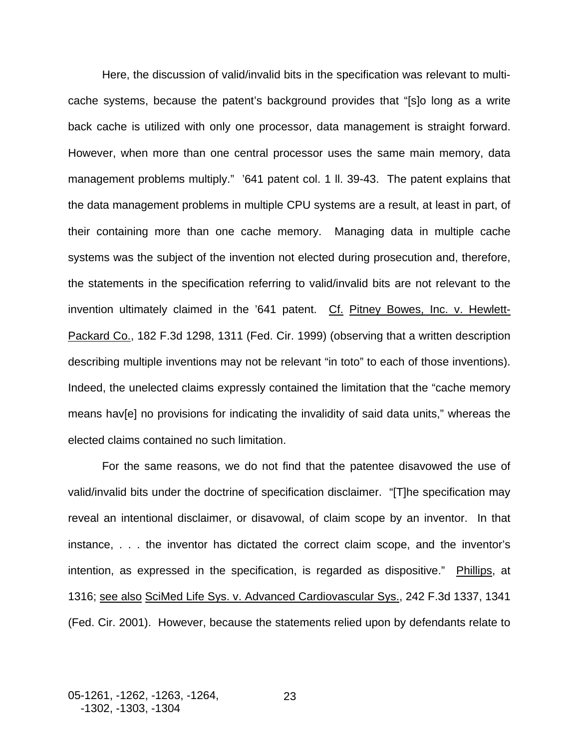Here, the discussion of valid/invalid bits in the specification was relevant to multicache systems, because the patent's background provides that "[s]o long as a write back cache is utilized with only one processor, data management is straight forward. However, when more than one central processor uses the same main memory, data management problems multiply." '641 patent col. 1 ll. 39-43. The patent explains that the data management problems in multiple CPU systems are a result, at least in part, of their containing more than one cache memory. Managing data in multiple cache systems was the subject of the invention not elected during prosecution and, therefore, the statements in the specification referring to valid/invalid bits are not relevant to the invention ultimately claimed in the '641 patent. Cf. Pitney Bowes, Inc. v. Hewlett-Packard Co., 182 F.3d 1298, 1311 (Fed. Cir. 1999) (observing that a written description describing multiple inventions may not be relevant "in toto" to each of those inventions). Indeed, the unelected claims expressly contained the limitation that the "cache memory means hav[e] no provisions for indicating the invalidity of said data units," whereas the elected claims contained no such limitation.

For the same reasons, we do not find that the patentee disavowed the use of valid/invalid bits under the doctrine of specification disclaimer. "[T]he specification may reveal an intentional disclaimer, or disavowal, of claim scope by an inventor. In that instance, . . . the inventor has dictated the correct claim scope, and the inventor's intention, as expressed in the specification, is regarded as dispositive." Phillips, at 1316; see also SciMed Life Sys. v. Advanced Cardiovascular Sys., 242 F.3d 1337, 1341 (Fed. Cir. 2001). However, because the statements relied upon by defendants relate to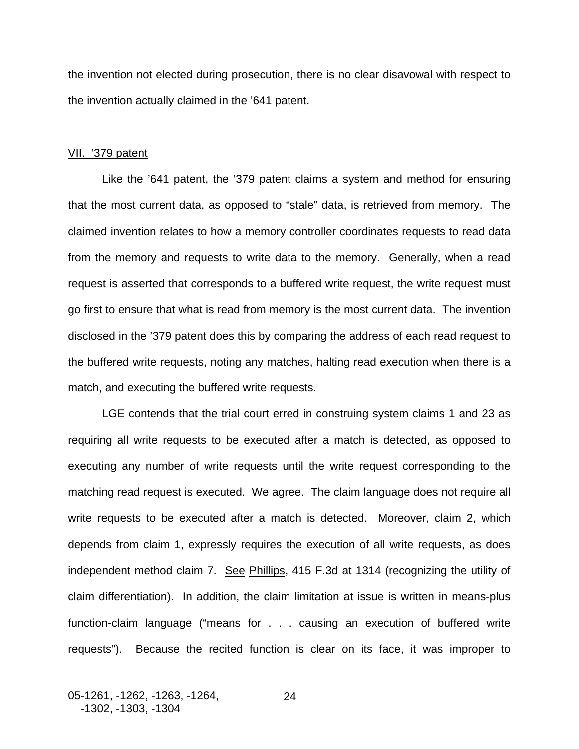the invention not elected during prosecution, there is no clear disavowal with respect to the invention actually claimed in the '641 patent.

#### VII. '379 patent

Like the '641 patent, the '379 patent claims a system and method for ensuring that the most current data, as opposed to "stale" data, is retrieved from memory. The claimed invention relates to how a memory controller coordinates requests to read data from the memory and requests to write data to the memory. Generally, when a read request is asserted that corresponds to a buffered write request, the write request must go first to ensure that what is read from memory is the most current data. The invention disclosed in the '379 patent does this by comparing the address of each read request to the buffered write requests, noting any matches, halting read execution when there is a match, and executing the buffered write requests.

LGE contends that the trial court erred in construing system claims 1 and 23 as requiring all write requests to be executed after a match is detected, as opposed to executing any number of write requests until the write request corresponding to the matching read request is executed. We agree. The claim language does not require all write requests to be executed after a match is detected. Moreover, claim 2, which depends from claim 1, expressly requires the execution of all write requests, as does independent method claim 7. See Phillips, 415 F.3d at 1314 (recognizing the utility of claim differentiation). In addition, the claim limitation at issue is written in means-plus function-claim language ("means for . . . causing an execution of buffered write requests"). Because the recited function is clear on its face, it was improper to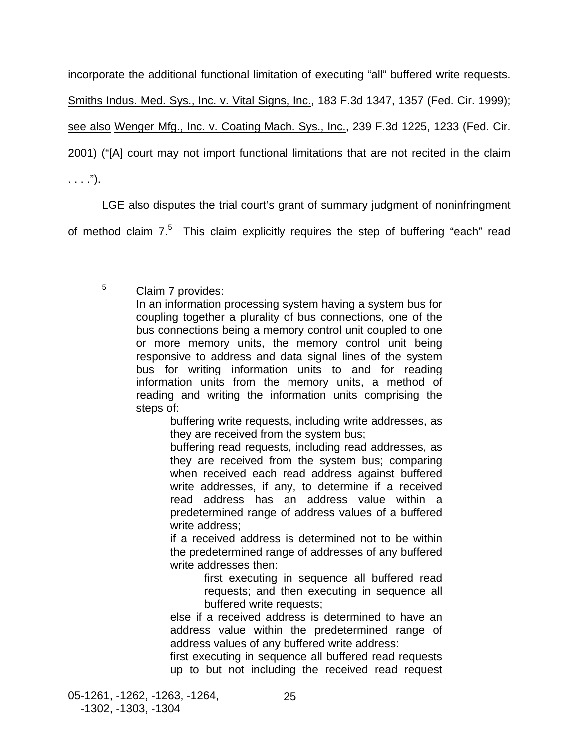incorporate the additional functional limitation of executing "all" buffered write requests. Smiths Indus. Med. Sys., Inc. v. Vital Signs, Inc., 183 F.3d 1347, 1357 (Fed. Cir. 1999); see also Wenger Mfg., Inc. v. Coating Mach. Sys., Inc., 239 F.3d 1225, 1233 (Fed. Cir. 2001) ("[A] court may not import functional limitations that are not recited in the claim  $\ldots$  .").

LGE also disputes the trial court's grant of summary judgment of noninfringment of method claim  $7.5$  $7.5$  This claim explicitly requires the step of buffering "each" read

<span id="page-26-0"></span><sup>5</sup> Claim 7 provides:

 $\frac{1}{5}$ 

buffering write requests, including write addresses, as they are received from the system bus;

buffering read requests, including read addresses, as they are received from the system bus; comparing when received each read address against buffered write addresses, if any, to determine if a received read address has an address value within a predetermined range of address values of a buffered write address;

if a received address is determined not to be within the predetermined range of addresses of any buffered write addresses then:

first executing in sequence all buffered read requests; and then executing in sequence all buffered write requests;

else if a received address is determined to have an address value within the predetermined range of address values of any buffered write address:

first executing in sequence all buffered read requests up to but not including the received read request

In an information processing system having a system bus for coupling together a plurality of bus connections, one of the bus connections being a memory control unit coupled to one or more memory units, the memory control unit being responsive to address and data signal lines of the system bus for writing information units to and for reading information units from the memory units, a method of reading and writing the information units comprising the steps of: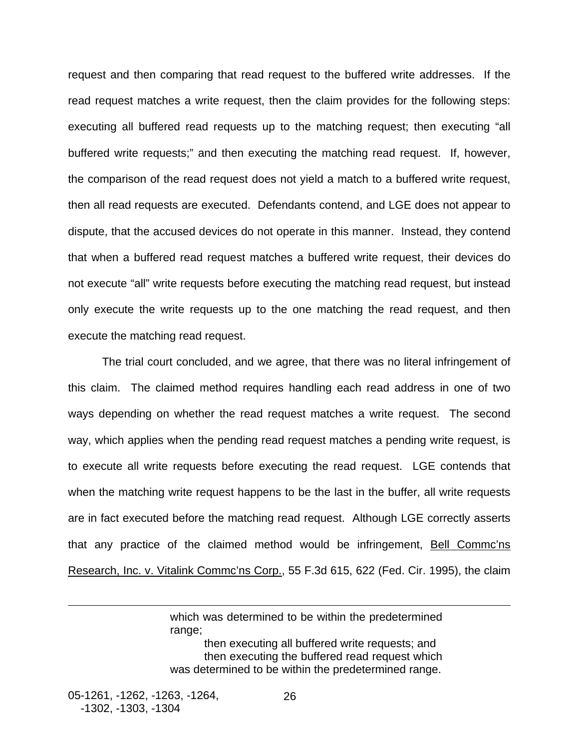request and then comparing that read request to the buffered write addresses. If the read request matches a write request, then the claim provides for the following steps: executing all buffered read requests up to the matching request; then executing "all buffered write requests;" and then executing the matching read request. If, however, the comparison of the read request does not yield a match to a buffered write request, then all read requests are executed. Defendants contend, and LGE does not appear to dispute, that the accused devices do not operate in this manner. Instead, they contend that when a buffered read request matches a buffered write request, their devices do not execute "all" write requests before executing the matching read request, but instead only execute the write requests up to the one matching the read request, and then execute the matching read request.

The trial court concluded, and we agree, that there was no literal infringement of this claim. The claimed method requires handling each read address in one of two ways depending on whether the read request matches a write request. The second way, which applies when the pending read request matches a pending write request, is to execute all write requests before executing the read request. LGE contends that when the matching write request happens to be the last in the buffer, all write requests are in fact executed before the matching read request. Although LGE correctly asserts that any practice of the claimed method would be infringement, **Bell Commc'ns** Research, Inc. v. Vitalink Commc'ns Corp., 55 F.3d 615, 622 (Fed. Cir. 1995), the claim

> which was determined to be within the predetermined range: then executing all buffered write requests; and then executing the buffered read request which was determined to be within the predetermined range.

05-1261, -1262, -1263, -1264, -1302, -1303, -1304

 $\overline{a}$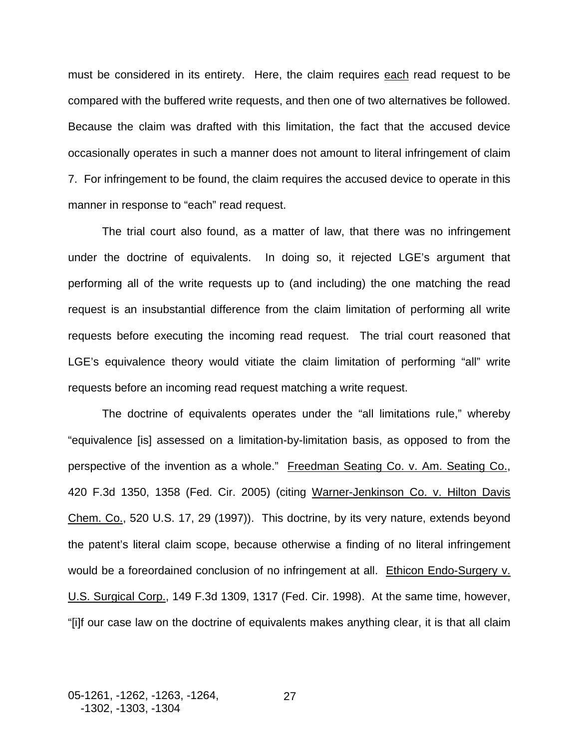must be considered in its entirety. Here, the claim requires each read request to be compared with the buffered write requests, and then one of two alternatives be followed. Because the claim was drafted with this limitation, the fact that the accused device occasionally operates in such a manner does not amount to literal infringement of claim 7. For infringement to be found, the claim requires the accused device to operate in this manner in response to "each" read request.

The trial court also found, as a matter of law, that there was no infringement under the doctrine of equivalents. In doing so, it rejected LGE's argument that performing all of the write requests up to (and including) the one matching the read request is an insubstantial difference from the claim limitation of performing all write requests before executing the incoming read request. The trial court reasoned that LGE's equivalence theory would vitiate the claim limitation of performing "all" write requests before an incoming read request matching a write request.

The doctrine of equivalents operates under the "all limitations rule," whereby "equivalence [is] assessed on a limitation-by-limitation basis, as opposed to from the perspective of the invention as a whole." Freedman Seating Co. v. Am. Seating Co., 420 F.3d 1350, 1358 (Fed. Cir. 2005) (citing Warner-Jenkinson Co. v. Hilton Davis Chem. Co., 520 U.S. 17, 29 (1997)). This doctrine, by its very nature, extends beyond the patent's literal claim scope, because otherwise a finding of no literal infringement would be a foreordained conclusion of no infringement at all. Ethicon Endo-Surgery v. U.S. Surgical Corp., 149 F.3d 1309, 1317 (Fed. Cir. 1998). At the same time, however, "[i]f our case law on the doctrine of equivalents makes anything clear, it is that all claim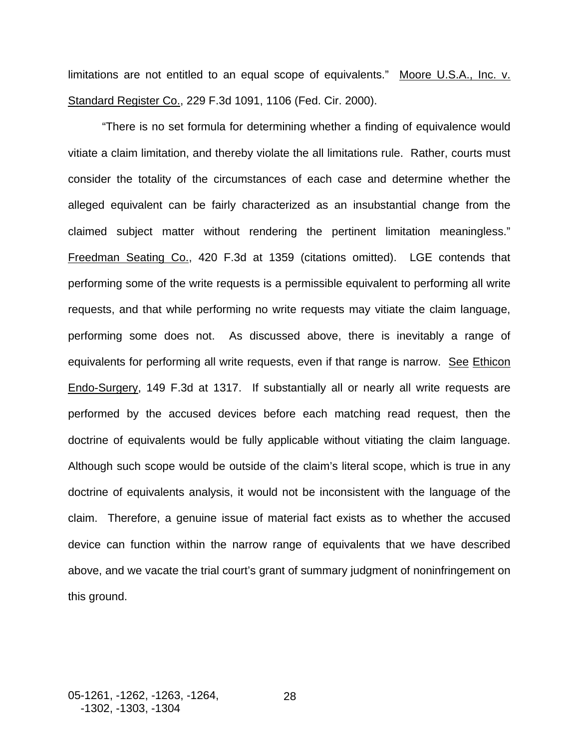limitations are not entitled to an equal scope of equivalents." Moore U.S.A., Inc. v. Standard Register Co., 229 F.3d 1091, 1106 (Fed. Cir. 2000).

"There is no set formula for determining whether a finding of equivalence would vitiate a claim limitation, and thereby violate the all limitations rule. Rather, courts must consider the totality of the circumstances of each case and determine whether the alleged equivalent can be fairly characterized as an insubstantial change from the claimed subject matter without rendering the pertinent limitation meaningless." Freedman Seating Co., 420 F.3d at 1359 (citations omitted). LGE contends that performing some of the write requests is a permissible equivalent to performing all write requests, and that while performing no write requests may vitiate the claim language, performing some does not. As discussed above, there is inevitably a range of equivalents for performing all write requests, even if that range is narrow. See Ethicon Endo-Surgery, 149 F.3d at 1317. If substantially all or nearly all write requests are performed by the accused devices before each matching read request, then the doctrine of equivalents would be fully applicable without vitiating the claim language. Although such scope would be outside of the claim's literal scope, which is true in any doctrine of equivalents analysis, it would not be inconsistent with the language of the claim. Therefore, a genuine issue of material fact exists as to whether the accused device can function within the narrow range of equivalents that we have described above, and we vacate the trial court's grant of summary judgment of noninfringement on this ground.